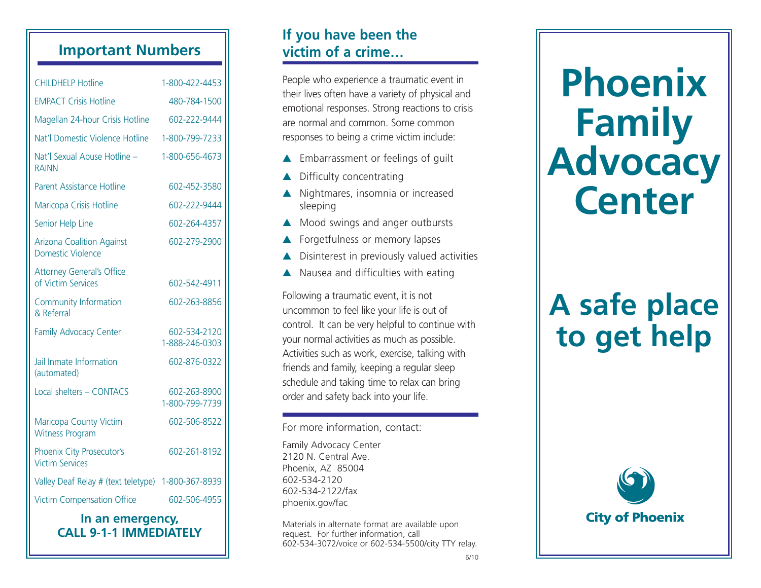## **Important Numbers**

| <b>CHILDHELP Hotline</b>                                     | 1-800-422-4453                 |
|--------------------------------------------------------------|--------------------------------|
| <b>EMPACT Crisis Hotline</b>                                 | 480-784-1500                   |
| Magellan 24-hour Crisis Hotline                              | 602-222-9444                   |
| Nat'l Domestic Violence Hotline                              | 1-800-799-7233                 |
| Nat'l Sexual Abuse Hotline -<br><b>RAINN</b>                 | 1-800-656-4673                 |
| Parent Assistance Hotline                                    | 602-452-3580                   |
| Maricopa Crisis Hotline                                      | 602-222-9444                   |
| Senior Help Line                                             | 602-264-4357                   |
| <b>Arizona Coalition Against</b><br><b>Domestic Violence</b> | 602-279-2900                   |
| <b>Attorney General's Office</b><br>of Victim Services       | 602-542-4911                   |
| <b>Community Information</b><br>& Referral                   | 602-263-8856                   |
| <b>Family Advocacy Center</b>                                | 602-534-2120<br>1-888-246-0303 |
| Jail Inmate Information<br>(automated)                       | 602-876-0322                   |
| Local shelters - CONTACS                                     | 602-263-8900<br>1-800-799-7739 |
| Maricopa County Victim<br><b>Witness Program</b>             | 602-506-8522                   |
| Phoenix City Prosecutor's<br><b>Victim Services</b>          | 602-261-8192                   |
| Valley Deaf Relay # (text teletype)                          | 1-800-367-8939                 |
| <b>Victim Compensation Office</b>                            | 602-506-4955                   |

#### **In an emergency, CALL 9-1-1 IMMEDIATELY**

## **If you have been the victim of a crime…**

People who experience a traumatic event in their lives often have a variety of physical and emotional responses. Strong reactions to crisis are normal and common. Some common responses to being a crime victim include:

- ▲ Embarrassment or feelings of quilt
- ▲ Difficulty concentrating
- ▲ Nightmares, insomnia or increased sleeping
- ▲ Mood swings and anger outbursts
- ▲ Forgetfulness or memory lapses
- ▲ Disinterest in previously valued activities
- ▲ Nausea and difficulties with eating

Following a traumatic event, it is not uncommon to feel like your life is out of control. It can be very helpful to continue with your normal activities as much as possible. Activities such as work, exercise, talking with friends and family, keeping a regular sleep schedule and taking time to relax can bring order and safety back into your life.

#### For more information, contact:

Family Advocacy Center 2120 N. Central Ave. Phoenix, AZ 85004 602-534-2120 602-534-2122/fax phoenix.gov/fac

Materials in alternate format are available upon request. For further information, call 602-534-3072/voice or 602-534-5500/city TTY relay.

# **Phoenix Family Advocacy Center**

## **A safe place to get help**